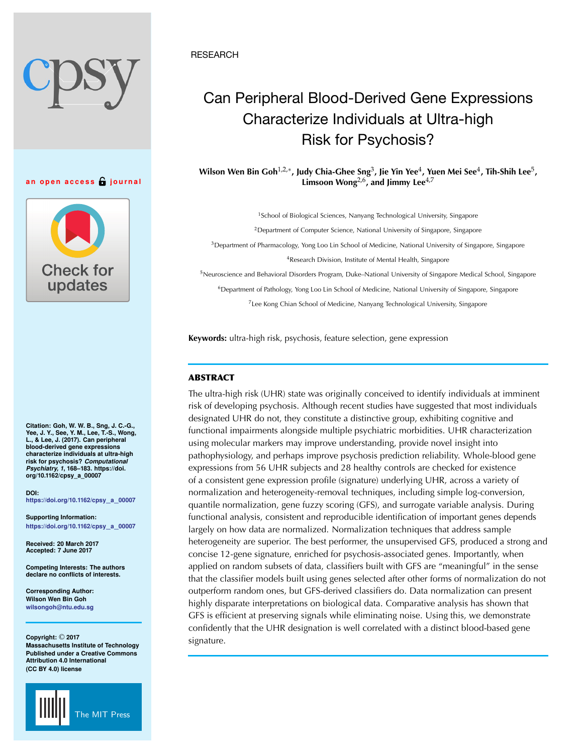**an open access journal**



**Citation: Goh, W. W. B., Sng, J. C.-G., Yee, J. Y., See, Y. M., Lee, T.-S., Wong, L., & Lee, J. (2017). Can peripheral blood-derived gene expressions characterize individuals at ultra-high risk for psychosis?** *Computational Psychiatry, 1***, 168–183. https://doi. org/10.1162/cpsy\_a\_00007**

**DOI: [https://doi.org/10.1162/cpsy](https://dx.doi.org/10.1162/cpsy_a_00007)**\_**a**\_**<sup>00007</sup>**

**Supporting Information: [https://doi.org/10.1162/cpsy](https://dx.doi.org/10.1162/cpsy_a_00007)**\_**a**\_**<sup>00007</sup>**

**Received: 20 March 2017 Accepted: 7 June 2017**

**Competing Interests: The authors declare no conflicts of interests.**

**Corresponding Author: Wilson Wen Bin Goh [wilsongoh@ntu.edu.sg](mailto:wilsongoh@ntu.edu.sg)**

**Copyright:** © **2017 Massachusetts Institute of Technology Published under a Creative Commons Attribution 4.0 International (CC BY 4.0) license**



**RESEARCH** 

# Can Peripheral Blood-Derived Gene Expressions Characterize Individuals at Ultra-high Risk for Psychosis?

**Wilson Wen Bin Goh**1,2,∗**, Judy Chia-Ghee Sng**3**, Jie Yin Yee**4**, Yuen Mei See**4**, Tih-Shih Lee**5**,** Limsoon Wong<sup>2,6</sup>, and Jimmy Lee<sup>4,7</sup>

<sup>1</sup>School of Biological Sciences, Nanyang Technological University, Singapore

<sup>2</sup>Department of Computer Science, National University of Singapore, Singapore

<sup>3</sup>Department of Pharmacology, Yong Loo Lin School of Medicine, National University of Singapore, Singapore <sup>4</sup>Research Division, Institute of Mental Health, Singapore

<sup>5</sup>Neuroscience and Behavioral Disorders Program, Duke–National University of Singapore Medical School, Singapore

<sup>6</sup>Department of Pathology, Yong Loo Lin School of Medicine, National University of Singapore, Singapore

<sup>7</sup>Lee Kong Chian School of Medicine, Nanyang Technological University, Singapore

**Keywords:** ultra-high risk, psychosis, feature selection, gene expression

# **ABSTRACT**

The ultra-high risk (UHR) state was originally conceived to identify individuals at imminent risk of developing psychosis. Although recent studies have suggested that most individuals designated UHR do not, they constitute a distinctive group, exhibiting cognitive and functional impairments alongside multiple psychiatric morbidities. UHR characterization using molecular markers may improve understanding, provide novel insight into pathophysiology, and perhaps improve psychosis prediction reliability. Whole-blood gene expressions from 56 UHR subjects and 28 healthy controls are checked for existence of a consistent gene expression profile (signature) underlying UHR, across a variety of normalization and heterogeneity-removal techniques, including simple log-conversion, quantile normalization, gene fuzzy scoring (GFS), and surrogate variable analysis. During functional analysis, consistent and reproducible identification of important genes depends largely on how data are normalized. Normalization techniques that address sample heterogeneity are superior. The best performer, the unsupervised GFS, produced a strong and concise 12-gene signature, enriched for psychosis-associated genes. Importantly, when applied on random subsets of data, classifiers built with GFS are "meaningful" in the sense that the classifier models built using genes selected after other forms of normalization do not outperform random ones, but GFS-derived classifiers do. Data normalization can present highly disparate interpretations on biological data. Comparative analysis has shown that GFS is efficient at preserving signals while eliminating noise. Using this, we demonstrate confidently that the UHR designation is well correlated with a distinct blood-based gene signature.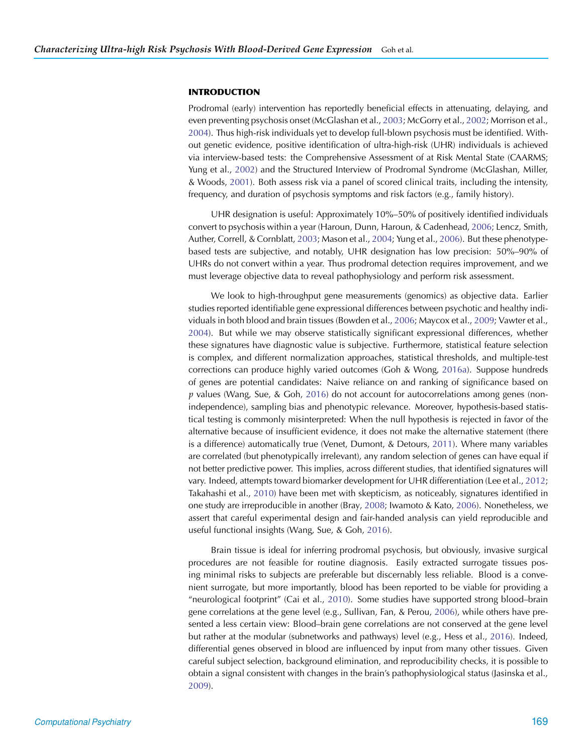# **INTRODUCTION**

Prodromal (early) intervention has reportedly beneficial effects in attenuating, delaying, and even preventing psychosis onset (McGlashan et al., [2003](#page-14-0); McGorry et al., [2002](#page-15-0); Morrison et al., [2004\)](#page-15-1). Thus high-risk individuals yet to develop full-blown psychosis must be identified. Without genetic evidence, positive identification of ultra-high-risk (UHR) individuals is achieved via interview-based tests: the Comprehensive Assessment of at Risk Mental State (CAARMS; Yung et al., [2002](#page-15-2)) and the Structured Interview of Prodromal Syndrome (McGlashan, Miller, & Woods, [2001\)](#page-14-1). Both assess risk via a panel of scored clinical traits, including the intensity, frequency, and duration of psychosis symptoms and risk factors (e.g., family history).

UHR designation is useful: Approximately 10%–50% of positively identified individuals convert to psychosis within a year (Haroun, Dunn, Haroun, & Cadenhead, [2006;](#page-14-2) Lencz, Smith, Auther, Correll, & Cornblatt, [2003;](#page-14-3) Mason et al., [2004;](#page-14-4) Yung et al., [2006\)](#page-15-3). But these phenotypebased tests are subjective, and notably, UHR designation has low precision: 50%–90% of UHRs do not convert within a year. Thus prodromal detection requires improvement, and we must leverage objective data to reveal pathophysiology and perform risk assessment.

We look to high-throughput gene measurements (genomics) as objective data. Earlier studies reported identifiable gene expressional differences between psychotic and healthy individuals in both blood and brain tissues (Bowden et al., [2006;](#page-13-0) Maycox et al., [2009](#page-14-5); Vawter et al., [2004\)](#page-15-4). But while we may observe statistically significant expressional differences, whether these signatures have diagnostic value is subjective. Furthermore, statistical feature selection is complex, and different normalization approaches, statistical thresholds, and multiple-test corrections can produce highly varied outcomes (Goh & Wong, [2016a](#page-14-6)). Suppose hundreds of genes are potential candidates: Naive reliance on and ranking of significance based on *p* values (Wang, Sue, & Goh, [2016\)](#page-15-5) do not account for autocorrelations among genes (nonindependence), sampling bias and phenotypic relevance. Moreover, hypothesis-based statistical testing is commonly misinterpreted: When the null hypothesis is rejected in favor of the alternative because of insufficient evidence, it does not make the alternative statement (there is a difference) automatically true (Venet, Dumont, & Detours, [2011\)](#page-15-6). Where many variables are correlated (but phenotypically irrelevant), any random selection of genes can have equal if not better predictive power. This implies, across different studies, that identified signatures will vary. Indeed, attempts toward biomarker development for UHR differentiation (Lee et al., [2012](#page-14-7); Takahashi et al., [2010\)](#page-15-7) have been met with skepticism, as noticeably, signatures identified in one study are irreproducible in another (Bray, [2008](#page-13-1); Iwamoto & Kato, [2006\)](#page-14-8). Nonetheless, we assert that careful experimental design and fair-handed analysis can yield reproducible and useful functional insights (Wang, Sue, & Goh, [2016\)](#page-15-5).

Brain tissue is ideal for inferring prodromal psychosis, but obviously, invasive surgical procedures are not feasible for routine diagnosis. Easily extracted surrogate tissues posing minimal risks to subjects are preferable but discernably less reliable. Blood is a convenient surrogate, but more importantly, blood has been reported to be viable for providing a "neurological footprint" (Cai et al., [2010\)](#page-13-2). Some studies have supported strong blood–brain gene correlations at the gene level (e.g., Sullivan, Fan, & Perou, [2006\)](#page-15-8), while others have presented a less certain view: Blood–brain gene correlations are not conserved at the gene level but rather at the modular (subnetworks and pathways) level (e.g., Hess et al., [2016](#page-14-9)). Indeed, differential genes observed in blood are influenced by input from many other tissues. Given careful subject selection, background elimination, and reproducibility checks, it is possible to obtain a signal consistent with changes in the brain's pathophysiological status (Jasinska et al., [2009\)](#page-14-10).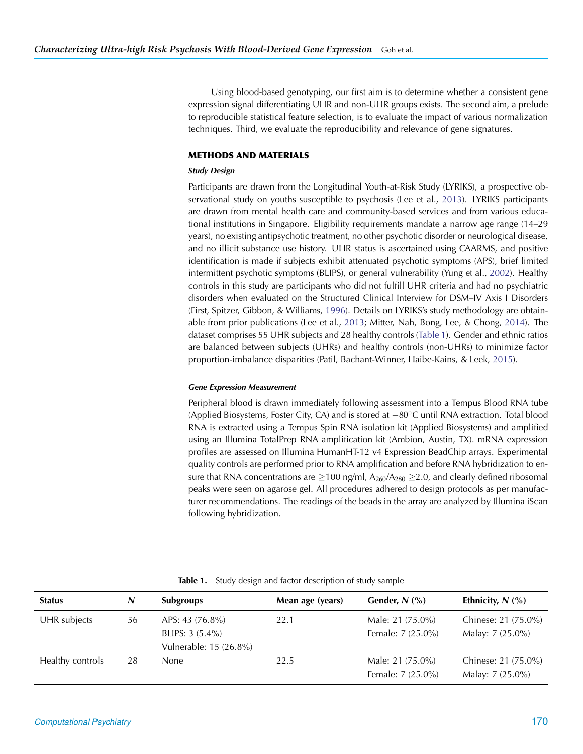Using blood-based genotyping, our first aim is to determine whether a consistent gene expression signal differentiating UHR and non-UHR groups exists. The second aim, a prelude to reproducible statistical feature selection, is to evaluate the impact of various normalization techniques. Third, we evaluate the reproducibility and relevance of gene signatures.

# **METHODS AND MATERIALS**

# *Study Design*

Participants are drawn from the Longitudinal Youth-at-Risk Study (LYRIKS), a prospective observational study on youths susceptible to psychosis (Lee et al., [2013\)](#page-14-11). LYRIKS participants are drawn from mental health care and community-based services and from various educational institutions in Singapore. Eligibility requirements mandate a narrow age range (14–29 years), no existing antipsychotic treatment, no other psychotic disorder or neurological disease, and no illicit substance use history. UHR status is ascertained using CAARMS, and positive identification is made if subjects exhibit attenuated psychotic symptoms (APS), brief limited intermittent psychotic symptoms (BLIPS), or general vulnerability (Yung et al., [2002\)](#page-15-2). Healthy controls in this study are participants who did not fulfill UHR criteria and had no psychiatric disorders when evaluated on the Structured Clinical Interview for DSM–IV Axis I Disorders (First, Spitzer, Gibbon, & Williams, [1996\)](#page-14-12). Details on LYRIKS's study methodology are obtainable from prior publications (Lee et al., [2013;](#page-14-11) Mitter, Nah, Bong, Lee, & Chong, [2014](#page-15-9)). The dataset comprises 55 UHR subjects and 28 healthy controls [\(Table 1\)](#page-2-0). Gender and ethnic ratios are balanced between subjects (UHRs) and healthy controls (non-UHRs) to minimize factor proportion-imbalance disparities (Patil, Bachant-Winner, Haibe-Kains, & Leek, [2015\)](#page-15-10).

# *Gene Expression Measurement*

Peripheral blood is drawn immediately following assessment into a Tempus Blood RNA tube (Applied Biosystems, Foster City, CA) and is stored at −80◦C until RNA extraction. Total blood RNA is extracted using a Tempus Spin RNA isolation kit (Applied Biosystems) and amplified using an Illumina TotalPrep RNA amplification kit (Ambion, Austin, TX). mRNA expression profiles are assessed on Illumina HumanHT-12 v4 Expression BeadChip arrays. Experimental quality controls are performed prior to RNA amplification and before RNA hybridization to ensure that RNA concentrations are  $\geq$ 100 ng/ml, A<sub>260</sub>/A<sub>280</sub>  $\geq$ 2.0, and clearly defined ribosomal peaks were seen on agarose gel. All procedures adhered to design protocols as per manufacturer recommendations. The readings of the beads in the array are analyzed by Illumina iScan following hybridization.

<span id="page-2-0"></span>

|  |  |  |  |  | Table 1. Study design and factor description of study sample |  |  |
|--|--|--|--|--|--------------------------------------------------------------|--|--|
|--|--|--|--|--|--------------------------------------------------------------|--|--|

| <b>Status</b>    | N  | <b>Subgroups</b>                                               | Mean age (years) | Gender, $N$ (%)                       | Ethnicity, $N$ (%)                      |
|------------------|----|----------------------------------------------------------------|------------------|---------------------------------------|-----------------------------------------|
| UHR subjects     | 56 | APS: 43 (76.8%)<br>BLIPS: $3(5.4\%)$<br>Vulnerable: 15 (26.8%) | 22.1             | Male: 21 (75.0%)<br>Female: 7 (25.0%) | Chinese: 21 (75.0%)<br>Malay: 7 (25.0%) |
| Healthy controls | 28 | None                                                           | 22.5             | Male: 21 (75.0%)<br>Female: 7 (25.0%) | Chinese: 21 (75.0%)<br>Malay: 7 (25.0%) |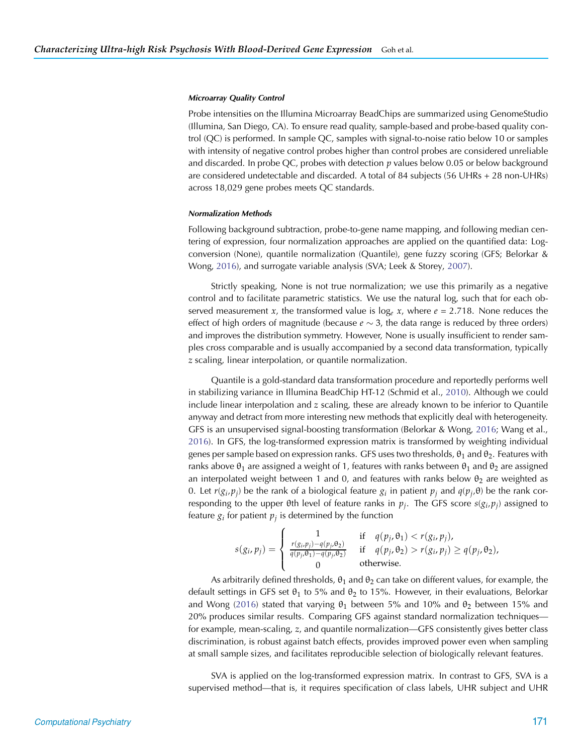#### *Microarray Quality Control*

Probe intensities on the Illumina Microarray BeadChips are summarized using GenomeStudio (Illumina, San Diego, CA). To ensure read quality, sample-based and probe-based quality control (QC) is performed. In sample QC, samples with signal-to-noise ratio below 10 or samples with intensity of negative control probes higher than control probes are considered unreliable and discarded. In probe QC, probes with detection *p* values below 0.05 or below background are considered undetectable and discarded. A total of 84 subjects (56 UHRs + 28 non-UHRs) across 18,029 gene probes meets QC standards.

# *Normalization Methods*

Following background subtraction, probe-to-gene name mapping, and following median centering of expression, four normalization approaches are applied on the quantified data: Logconversion (None), quantile normalization (Quantile), gene fuzzy scoring (GFS; Belorkar & Wong, [2016\)](#page-13-3), and surrogate variable analysis (SVA; Leek & Storey, [2007](#page-14-13)).

Strictly speaking, None is not true normalization; we use this primarily as a negative control and to facilitate parametric statistics. We use the natural log, such that for each observed measurement *x*, the transformed value is  $log_e x$ , where  $e = 2.718$ . None reduces the effect of high orders of magnitude (because  $e \sim 3$ , the data range is reduced by three orders) and improves the distribution symmetry. However, None is usually insufficient to render samples cross comparable and is usually accompanied by a second data transformation, typically *z* scaling, linear interpolation, or quantile normalization.

Quantile is a gold-standard data transformation procedure and reportedly performs well in stabilizing variance in Illumina BeadChip HT-12 (Schmid et al., [2010](#page-15-11)). Although we could include linear interpolation and *z* scaling, these are already known to be inferior to Quantile anyway and detract from more interesting new methods that explicitly deal with heterogeneity. GFS is an unsupervised signal-boosting transformation (Belorkar & Wong, [2016](#page-13-3); Wang et al., [2016\)](#page-15-5). In GFS, the log-transformed expression matrix is transformed by weighting individual genes per sample based on expression ranks. GFS uses two thresholds,  $\theta_1$  and  $\theta_2$ . Features with ranks above  $\theta_1$  are assigned a weight of 1, features with ranks between  $\theta_1$  and  $\theta_2$  are assigned an interpolated weight between 1 and 0, and features with ranks below  $\theta_2$  are weighted as 0. Let  $r(g_i, p_j)$  be the rank of a biological feature  $g_i$  in patient  $p_j$  and  $q(p_j, \theta)$  be the rank corresponding to the upper  $\theta$ th level of feature ranks in  $p_i$ . The GFS score  $s(g_i, p_j)$  assigned to feature  $g_i$  for patient  $p_i$  is determined by the function

$$
s(g_i, p_j) = \begin{cases} 1 & \text{if } q(p_j, \theta_1) < r(g_i, p_j), \\ \frac{r(g_i, p_j) - q(p_j, \theta_2)}{q(p_j, \theta_1) - q(p_j, \theta_2)} & \text{if } q(p_j, \theta_2) > r(g_i, p_j) \ge q(p_j, \theta_2), \\ 0 & \text{otherwise.} \end{cases}
$$

As arbitrarily defined thresholds,  $\theta_1$  and  $\theta_2$  can take on different values, for example, the default settings in GFS set  $\theta_1$  to 5% and  $\theta_2$  to 15%. However, in their evaluations, Belorkar and Wong [\(2016\)](#page-13-3) stated that varying  $\theta_1$  between 5% and 10% and  $\theta_2$  between 15% and 20% produces similar results. Comparing GFS against standard normalization techniques for example, mean-scaling, *z*, and quantile normalization—GFS consistently gives better class discrimination, is robust against batch effects, provides improved power even when sampling at small sample sizes, and facilitates reproducible selection of biologically relevant features.

SVA is applied on the log-transformed expression matrix. In contrast to GFS, SVA is a supervised method—that is, it requires specification of class labels, UHR subject and UHR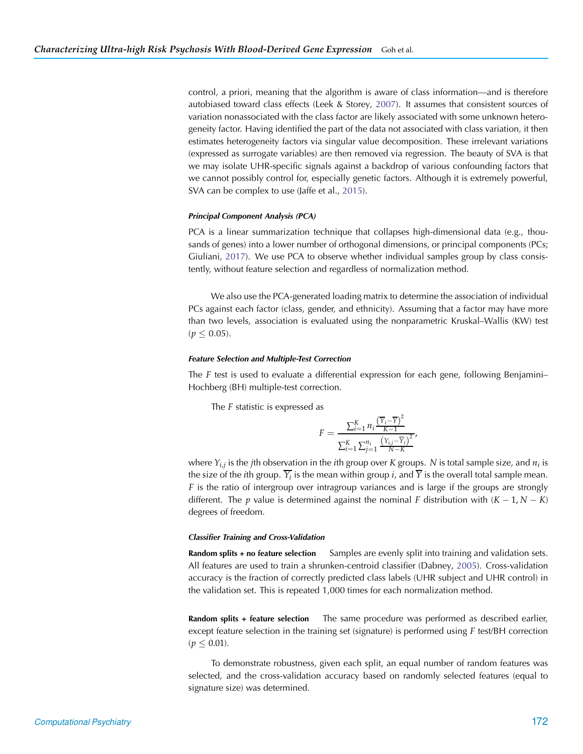control, a priori, meaning that the algorithm is aware of class information—and is therefore autobiased toward class effects (Leek & Storey, [2007\)](#page-14-13). It assumes that consistent sources of variation nonassociated with the class factor are likely associated with some unknown heterogeneity factor. Having identified the part of the data not associated with class variation, it then estimates heterogeneity factors via singular value decomposition. These irrelevant variations (expressed as surrogate variables) are then removed via regression. The beauty of SVA is that we may isolate UHR-specific signals against a backdrop of various confounding factors that we cannot possibly control for, especially genetic factors. Although it is extremely powerful, SVA can be complex to use (Jaffe et al., [2015\)](#page-14-14).

# *Principal Component Analysis (PCA)*

PCA is a linear summarization technique that collapses high-dimensional data (e.g., thousands of genes) into a lower number of orthogonal dimensions, or principal components (PCs; Giuliani, [2017\)](#page-14-15). We use PCA to observe whether individual samples group by class consistently, without feature selection and regardless of normalization method.

We also use the PCA-generated loading matrix to determine the association of individual PCs against each factor (class, gender, and ethnicity). Assuming that a factor may have more than two levels, association is evaluated using the nonparametric Kruskal–Wallis (KW) test  $(p \le 0.05)$ .

#### *Feature Selection and Multiple-Test Correction*

The *F* test is used to evaluate a differential expression for each gene, following Benjamini– Hochberg (BH) multiple-test correction.

The *F* statistic is expressed as

$$
F = \frac{\sum_{i=1}^{K} n_i \frac{(\overline{Y}_i - \overline{Y})^2}{K - 1}}{\sum_{i=1}^{K} \sum_{j=1}^{n_i} \frac{(Y_{i,j} - \overline{Y}_i)^2}{N - K}},
$$

where  $Y_{i,j}$  is the *j*th observation in the *i*th group over *K* groups. *N* is total sample size, and  $n_i$  is the size of the *i*th group.  $\overline{Y}_i$  is the mean within group *i*, and  $\overline{Y}$  is the overall total sample mean. *F* is the ratio of intergroup over intragroup variances and is large if the groups are strongly different. The *p* value is determined against the nominal *F* distribution with  $(K - 1, N - K)$ degrees of freedom.

#### *Classifier Training and Cross-Validation*

**Random splits + no feature selection** Samples are evenly split into training and validation sets. All features are used to train a shrunken-centroid classifier (Dabney, [2005](#page-14-16)). Cross-validation accuracy is the fraction of correctly predicted class labels (UHR subject and UHR control) in the validation set. This is repeated 1,000 times for each normalization method.

**Random splits + feature selection** The same procedure was performed as described earlier, except feature selection in the training set (signature) is performed using *F* test/BH correction  $(p \leq 0.01)$ .

To demonstrate robustness, given each split, an equal number of random features was selected, and the cross-validation accuracy based on randomly selected features (equal to signature size) was determined.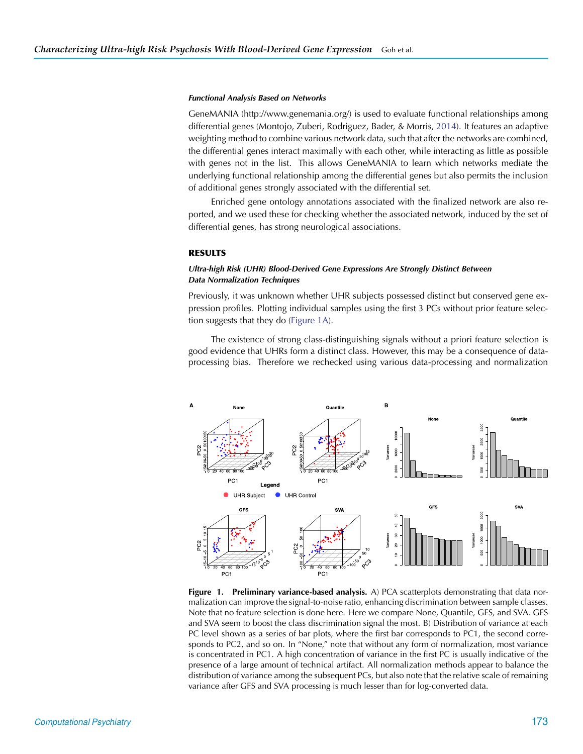# *Functional Analysis Based on Networks*

GeneMANIA (http://www.genemania.org/) is used to evaluate functional relationships among differential genes (Montojo, Zuberi, Rodriguez, Bader, & Morris, [2014\)](#page-15-12). It features an adaptive weighting method to combine various network data, such that after the networks are combined, the differential genes interact maximally with each other, while interacting as little as possible with genes not in the list. This allows GeneMANIA to learn which networks mediate the underlying functional relationship among the differential genes but also permits the inclusion of additional genes strongly associated with the differential set.

Enriched gene ontology annotations associated with the finalized network are also reported, and we used these for checking whether the associated network, induced by the set of differential genes, has strong neurological associations.

# **RESULTS**

# *Ultra-high Risk (UHR) Blood-Derived Gene Expressions Are Strongly Distinct Between Data Normalization Techniques*

Previously, it was unknown whether UHR subjects possessed distinct but conserved gene expression profiles. Plotting individual samples using the first 3 PCs without prior feature selection suggests that they do [\(Figure 1A\)](#page-5-0).

The existence of strong class-distinguishing signals without a priori feature selection is good evidence that UHRs form a distinct class. However, this may be a consequence of dataprocessing bias. Therefore we rechecked using various data-processing and normalization



<span id="page-5-0"></span>**Figure 1. Preliminary variance-based analysis.** A) PCA scatterplots demonstrating that data normalization can improve the signal-to-noise ratio, enhancing discrimination between sample classes. Note that no feature selection is done here. Here we compare None, Quantile, GFS, and SVA. GFS and SVA seem to boost the class discrimination signal the most. B) Distribution of variance at each PC level shown as a series of bar plots, where the first bar corresponds to PC1, the second corresponds to PC2, and so on. In "None," note that without any form of normalization, most variance is concentrated in PC1. A high concentration of variance in the first PC is usually indicative of the presence of a large amount of technical artifact. All normalization methods appear to balance the distribution of variance among the subsequent PCs, but also note that the relative scale of remaining variance after GFS and SVA processing is much lesser than for log-converted data.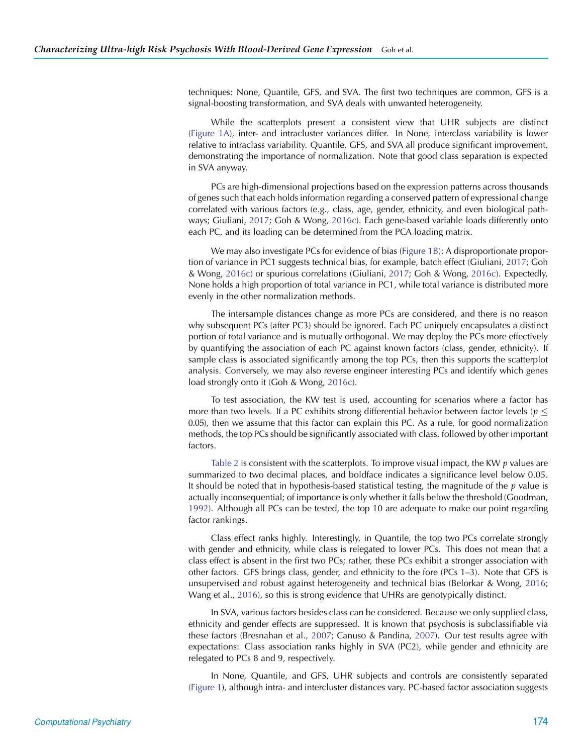techniques: None, Quantile, GFS, and SVA. The first two techniques are common, GFS is a signal-boosting transformation, and SVA deals with unwanted heterogeneity.

While the scatterplots present a consistent view that UHR subjects are distinct [\(Figure 1A\)](#page-5-0), inter- and intracluster variances differ. In None, interclass variability is lower relative to intraclass variability. Quantile, GFS, and SVA all produce significant improvement, demonstrating the importance of normalization. Note that good class separation is expected in SVA anyway.

PCs are high-dimensional projections based on the expression patterns across thousands of genes such that each holds information regarding a conserved pattern of expressional change correlated with various factors (e.g., class, age, gender, ethnicity, and even biological pathways; Giuliani, [2017;](#page-14-15) Goh & Wong, [2016c](#page-14-17)). Each gene-based variable loads differently onto each PC, and its loading can be determined from the PCA loading matrix.

We may also investigate PCs for evidence of bias [\(Figure 1B\)](#page-5-0): A disproportionate proportion of variance in PC1 suggests technical bias, for example, batch effect (Giuliani, [2017;](#page-14-15) Goh & Wong, [2016c](#page-14-17)) or spurious correlations (Giuliani, [2017;](#page-14-15) Goh & Wong, [2016c](#page-14-17)). Expectedly, None holds a high proportion of total variance in PC1, while total variance is distributed more evenly in the other normalization methods.

The intersample distances change as more PCs are considered, and there is no reason why subsequent PCs (after PC3) should be ignored. Each PC uniquely encapsulates a distinct portion of total variance and is mutually orthogonal. We may deploy the PCs more effectively by quantifying the association of each PC against known factors (class, gender, ethnicity). If sample class is associated significantly among the top PCs, then this supports the scatterplot analysis. Conversely, we may also reverse engineer interesting PCs and identify which genes load strongly onto it (Goh & Wong, [2016c](#page-14-17)).

To test association, the KW test is used, accounting for scenarios where a factor has more than two levels. If a PC exhibits strong differential behavior between factor levels ( $p \leq$ 0.05), then we assume that this factor can explain this PC. As a rule, for good normalization methods, the top PCs should be significantly associated with class, followed by other important factors.

[Table 2](#page-7-0) is consistent with the scatterplots. To improve visual impact, the KW *p* values are summarized to two decimal places, and boldface indicates a significance level below 0.05. It should be noted that in hypothesis-based statistical testing, the magnitude of the *p* value is actually inconsequential; of importance is only whether it falls below the threshold (Goodman, [1992\)](#page-14-18). Although all PCs can be tested, the top 10 are adequate to make our point regarding factor rankings.

Class effect ranks highly. Interestingly, in Quantile, the top two PCs correlate strongly with gender and ethnicity, while class is relegated to lower PCs. This does not mean that a class effect is absent in the first two PCs; rather, these PCs exhibit a stronger association with other factors. GFS brings class, gender, and ethnicity to the fore (PCs 1–3). Note that GFS is unsupervised and robust against heterogeneity and technical bias (Belorkar & Wong, [2016](#page-13-3); Wang et al., [2016\)](#page-15-5), so this is strong evidence that UHRs are genotypically distinct.

In SVA, various factors besides class can be considered. Because we only supplied class, ethnicity and gender effects are suppressed. It is known that psychosis is subclassifiable via these factors (Bresnahan et al., [2007](#page-13-3); Canuso & Pandina, [2007\)](#page-13-4). Our test results agree with expectations: Class association ranks highly in SVA (PC2), while gender and ethnicity are relegated to PCs 8 and 9, respectively.

In None, Quantile, and GFS, UHR subjects and controls are consistently separated [\(Figure 1\)](#page-5-0), although intra- and intercluster distances vary. PC-based factor association suggests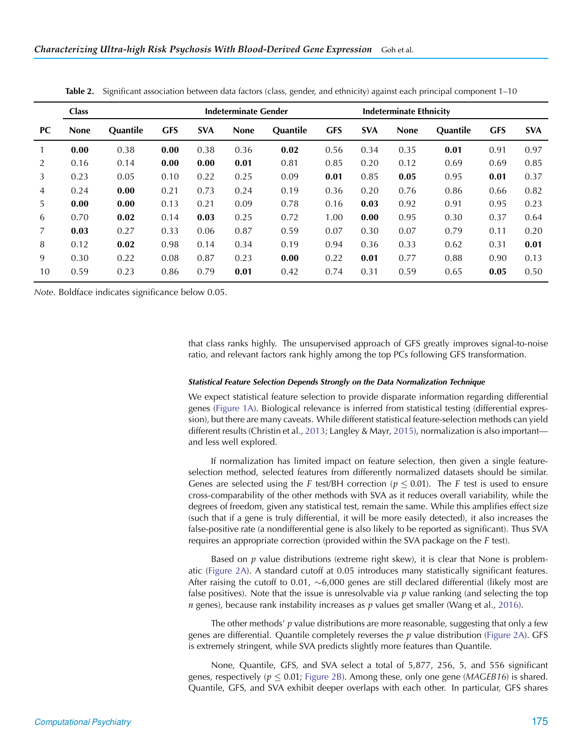|           | <b>Class</b> |                 | <b>Indeterminate Gender</b> |            |             |                 |            | <b>Indeterminate Ethnicity</b> |             |                 |            |            |
|-----------|--------------|-----------------|-----------------------------|------------|-------------|-----------------|------------|--------------------------------|-------------|-----------------|------------|------------|
| <b>PC</b> | <b>None</b>  | <b>Quantile</b> | <b>GFS</b>                  | <b>SVA</b> | <b>None</b> | <b>Quantile</b> | <b>GFS</b> | <b>SVA</b>                     | <b>None</b> | <b>Quantile</b> | <b>GFS</b> | <b>SVA</b> |
|           | 0.00         | 0.38            | 0.00                        | 0.38       | 0.36        | 0.02            | 0.56       | 0.34                           | 0.35        | 0.01            | 0.91       | 0.97       |
| 2         | 0.16         | 0.14            | 0.00                        | 0.00       | 0.01        | 0.81            | 0.85       | 0.20                           | 0.12        | 0.69            | 0.69       | 0.85       |
| 3         | 0.23         | 0.05            | 0.10                        | 0.22       | 0.25        | 0.09            | 0.01       | 0.85                           | 0.05        | 0.95            | 0.01       | 0.37       |
| 4         | 0.24         | 0.00            | 0.21                        | 0.73       | 0.24        | 0.19            | 0.36       | 0.20                           | 0.76        | 0.86            | 0.66       | 0.82       |
| 5         | 0.00         | 0.00            | 0.13                        | 0.21       | 0.09        | 0.78            | 0.16       | 0.03                           | 0.92        | 0.91            | 0.95       | 0.23       |
| 6         | 0.70         | 0.02            | 0.14                        | 0.03       | 0.25        | 0.72            | 1.00       | 0.00                           | 0.95        | 0.30            | 0.37       | 0.64       |
| 7         | 0.03         | 0.27            | 0.33                        | 0.06       | 0.87        | 0.59            | 0.07       | 0.30                           | 0.07        | 0.79            | 0.11       | 0.20       |
| 8         | 0.12         | 0.02            | 0.98                        | 0.14       | 0.34        | 0.19            | 0.94       | 0.36                           | 0.33        | 0.62            | 0.31       | 0.01       |
| 9         | 0.30         | 0.22            | 0.08                        | 0.87       | 0.23        | 0.00            | 0.22       | 0.01                           | 0.77        | 0.88            | 0.90       | 0.13       |
| 10        | 0.59         | 0.23            | 0.86                        | 0.79       | 0.01        | 0.42            | 0.74       | 0.31                           | 0.59        | 0.65            | 0.05       | 0.50       |
|           |              |                 |                             |            |             |                 |            |                                |             |                 |            |            |

<span id="page-7-0"></span>**Table 2.** Significant association between data factors (class, gender, and ethnicity) against each principal component 1–10

*Note*. Boldface indicates significance below 0.05.

that class ranks highly. The unsupervised approach of GFS greatly improves signal-to-noise ratio, and relevant factors rank highly among the top PCs following GFS transformation.

#### *Statistical Feature Selection Depends Strongly on the Data Normalization Technique*

We expect statistical feature selection to provide disparate information regarding differential genes [\(Figure 1A\)](#page-5-0). Biological relevance is inferred from statistical testing (differential expression), but there are many caveats. While different statistical feature-selection methods can yield different results (Christin et al., [2013;](#page-14-19) Langley & Mayr, [2015\)](#page-14-20), normalization is also important and less well explored.

If normalization has limited impact on feature selection, then given a single featureselection method, selected features from differently normalized datasets should be similar. Genes are selected using the *F* test/BH correction ( $p \le 0.01$ ). The *F* test is used to ensure cross-comparability of the other methods with SVA as it reduces overall variability, while the degrees of freedom, given any statistical test, remain the same. While this amplifies effect size (such that if a gene is truly differential, it will be more easily detected), it also increases the false-positive rate (a nondifferential gene is also likely to be reported as significant). Thus SVA requires an appropriate correction (provided within the SVA package on the *F* test).

Based on *p* value distributions (extreme right skew), it is clear that None is problematic [\(Figure 2A\)](#page-8-0). A standard cutoff at 0.05 introduces many statistically significant features. After raising the cutoff to 0.01, ∼6,000 genes are still declared differential (likely most are false positives). Note that the issue is unresolvable via *p* value ranking (and selecting the top *n* genes), because rank instability increases as *p* values get smaller (Wang et al., [2016\)](#page-15-5).

The other methods' *p* value distributions are more reasonable, suggesting that only a few genes are differential. Quantile completely reverses the *p* value distribution [\(Figure 2A\)](#page-8-0). GFS is extremely stringent, while SVA predicts slightly more features than Quantile.

None, Quantile, GFS, and SVA select a total of 5,877, 256, 5, and 556 significant genes, respectively ( $p \le 0.01$ ; [Figure 2B\)](#page-8-0). Among these, only one gene (*MAGEB16*) is shared. Quantile, GFS, and SVA exhibit deeper overlaps with each other. In particular, GFS shares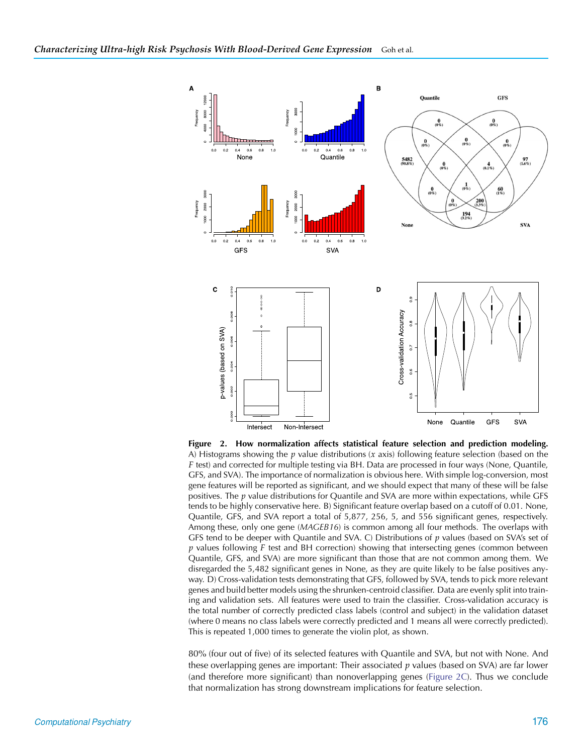

<span id="page-8-0"></span>**Figure 2. How normalization affects statistical feature selection and prediction modeling.** A) Histograms showing the *p* value distributions (*x* axis) following feature selection (based on the *F* test) and corrected for multiple testing via BH. Data are processed in four ways (None, Quantile, GFS, and SVA). The importance of normalization is obvious here. With simple log-conversion, most gene features will be reported as significant, and we should expect that many of these will be false positives. The *p* value distributions for Quantile and SVA are more within expectations, while GFS tends to be highly conservative here. B) Significant feature overlap based on a cutoff of 0.01. None, Quantile, GFS, and SVA report a total of 5,877, 256, 5, and 556 significant genes, respectively. Among these, only one gene (*MAGEB16*) is common among all four methods. The overlaps with GFS tend to be deeper with Quantile and SVA. C) Distributions of *p* values (based on SVA's set of *p* values following *F* test and BH correction) showing that intersecting genes (common between Quantile, GFS, and SVA) are more significant than those that are not common among them. We disregarded the 5,482 significant genes in None, as they are quite likely to be false positives anyway. D) Cross-validation tests demonstrating that GFS, followed by SVA, tends to pick more relevant genes and build better models using the shrunken-centroid classifier. Data are evenly split into training and validation sets. All features were used to train the classifier. Cross-validation accuracy is the total number of correctly predicted class labels (control and subject) in the validation dataset (where 0 means no class labels were correctly predicted and 1 means all were correctly predicted). This is repeated 1,000 times to generate the violin plot, as shown.

80% (four out of five) of its selected features with Quantile and SVA, but not with None. And these overlapping genes are important: Their associated *p* values (based on SVA) are far lower (and therefore more significant) than nonoverlapping genes [\(Figure 2C\)](#page-8-0). Thus we conclude that normalization has strong downstream implications for feature selection.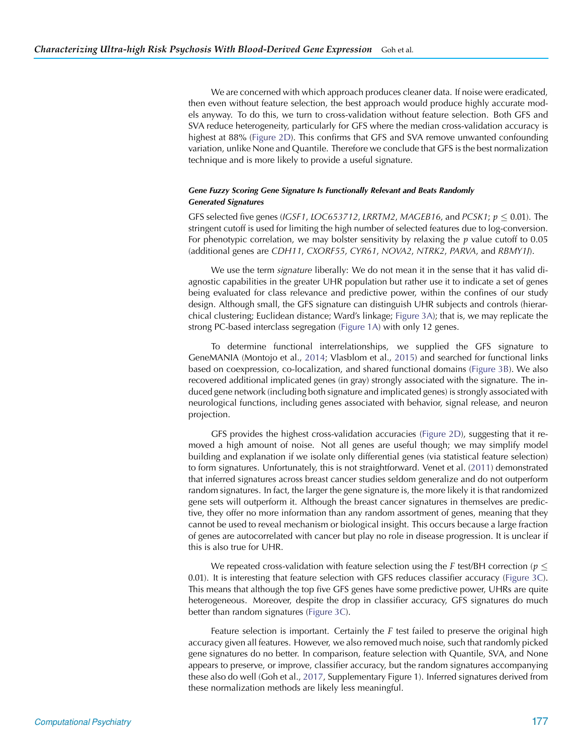We are concerned with which approach produces cleaner data. If noise were eradicated, then even without feature selection, the best approach would produce highly accurate models anyway. To do this, we turn to cross-validation without feature selection. Both GFS and SVA reduce heterogeneity, particularly for GFS where the median cross-validation accuracy is highest at 88% [\(Figure 2D\)](#page-8-0). This confirms that GFS and SVA remove unwanted confounding variation, unlike None and Quantile. Therefore we conclude that GFS is the best normalization technique and is more likely to provide a useful signature.

# *Gene Fuzzy Scoring Gene Signature Is Functionally Relevant and Beats Randomly Generated Signatures*

GFS selected five genes (*IGSF1*, *LOC653712*, *LRRTM2*, *MAGEB16*, and *PCSK1*;  $p \le 0.01$ ). The stringent cutoff is used for limiting the high number of selected features due to log-conversion. For phenotypic correlation, we may bolster sensitivity by relaxing the *p* value cutoff to 0.05 (additional genes are *CDH11*, *CXORF55*, *CYR61*, *NOVA2*, *NTRK2*, *PARVA*, and *RBMY1J*).

We use the term *signature* liberally: We do not mean it in the sense that it has valid diagnostic capabilities in the greater UHR population but rather use it to indicate a set of genes being evaluated for class relevance and predictive power, within the confines of our study design. Although small, the GFS signature can distinguish UHR subjects and controls (hierarchical clustering; Euclidean distance; Ward's linkage; [Figure 3A\)](#page-10-0); that is, we may replicate the strong PC-based interclass segregation [\(Figure 1A\)](#page-5-0) with only 12 genes.

To determine functional interrelationships, we supplied the GFS signature to GeneMANIA (Montojo et al., [2014;](#page-15-12) Vlasblom et al., [2015\)](#page-15-13) and searched for functional links based on coexpression, co-localization, and shared functional domains [\(Figure 3B\)](#page-10-0). We also recovered additional implicated genes (in gray) strongly associated with the signature. The induced gene network (including both signature and implicated genes) is strongly associated with neurological functions, including genes associated with behavior, signal release, and neuron projection.

GFS provides the highest cross-validation accuracies [\(Figure 2D\)](#page-8-0), suggesting that it removed a high amount of noise. Not all genes are useful though; we may simplify model building and explanation if we isolate only differential genes (via statistical feature selection) to form signatures. Unfortunately, this is not straightforward. Venet et al. [\(2011\)](#page-15-6) demonstrated that inferred signatures across breast cancer studies seldom generalize and do not outperform random signatures. In fact, the larger the gene signature is, the more likely it is that randomized gene sets will outperform it. Although the breast cancer signatures in themselves are predictive, they offer no more information than any random assortment of genes, meaning that they cannot be used to reveal mechanism or biological insight. This occurs because a large fraction of genes are autocorrelated with cancer but play no role in disease progression. It is unclear if this is also true for UHR.

We repeated cross-validation with feature selection using the *F* test/BH correction ( $p \leq$ 0.01). It is interesting that feature selection with GFS reduces classifier accuracy [\(Figure 3C\)](#page-10-0). This means that although the top five GFS genes have some predictive power, UHRs are quite heterogeneous. Moreover, despite the drop in classifier accuracy, GFS signatures do much better than random signatures [\(Figure 3C\)](#page-10-0).

Feature selection is important. Certainly the *F* test failed to preserve the original high accuracy given all features. However, we also removed much noise, such that randomly picked gene signatures do no better. In comparison, feature selection with Quantile, SVA, and None appears to preserve, or improve, classifier accuracy, but the random signatures accompanying these also do well (Goh et al., [2017,](#page-14-21) Supplementary Figure 1). Inferred signatures derived from these normalization methods are likely less meaningful.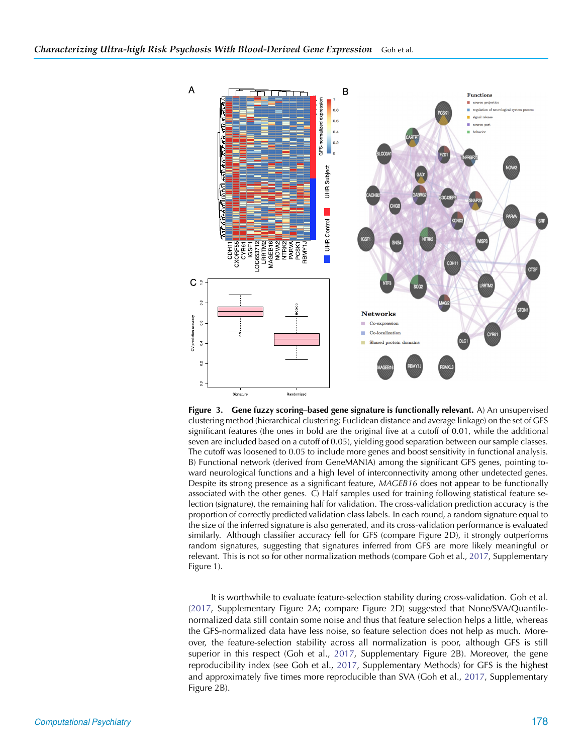

<span id="page-10-0"></span>**Figure 3. Gene fuzzy scoring–based gene signature is functionally relevant.** A) An unsupervised clustering method (hierarchical clustering; Euclidean distance and average linkage) on the set of GFS significant features (the ones in bold are the original five at a cutoff of 0.01, while the additional seven are included based on a cutoff of 0.05), yielding good separation between our sample classes. The cutoff was loosened to 0.05 to include more genes and boost sensitivity in functional analysis. B) Functional network (derived from GeneMANIA) among the significant GFS genes, pointing toward neurological functions and a high level of interconnectivity among other undetected genes. Despite its strong presence as a significant feature, *MAGEB16* does not appear to be functionally associated with the other genes. C) Half samples used for training following statistical feature selection (signature), the remaining half for validation. The cross-validation prediction accuracy is the proportion of correctly predicted validation class labels. In each round, a random signature equal to the size of the inferred signature is also generated, and its cross-validation performance is evaluated similarly. Although classifier accuracy fell for GFS (compare Figure 2D), it strongly outperforms random signatures, suggesting that signatures inferred from GFS are more likely meaningful or relevant. This is not so for other normalization methods (compare Goh et al., [2017](#page-14-21), Supplementary Figure 1).

It is worthwhile to evaluate feature-selection stability during cross-validation. Goh et al. [\(2017,](#page-14-21) Supplementary Figure 2A; compare Figure 2D) suggested that None/SVA/Quantilenormalized data still contain some noise and thus that feature selection helps a little, whereas the GFS-normalized data have less noise, so feature selection does not help as much. Moreover, the feature-selection stability across all normalization is poor, although GFS is still superior in this respect (Goh et al., [2017](#page-14-21), Supplementary Figure 2B). Moreover, the gene reproducibility index (see Goh et al., [2017](#page-14-21), Supplementary Methods) for GFS is the highest and approximately five times more reproducible than SVA (Goh et al., [2017](#page-14-21), Supplementary Figure 2B).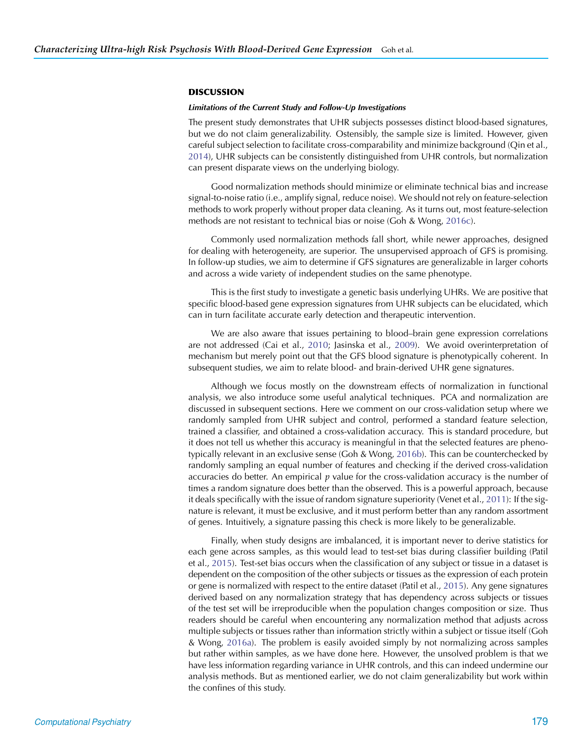# **DISCUSSION**

#### *Limitations of the Current Study and Follow-Up Investigations*

The present study demonstrates that UHR subjects possesses distinct blood-based signatures, but we do not claim generalizability. Ostensibly, the sample size is limited. However, given careful subject selection to facilitate cross-comparability and minimize background (Qin et al., [2014\)](#page-15-14), UHR subjects can be consistently distinguished from UHR controls, but normalization can present disparate views on the underlying biology.

Good normalization methods should minimize or eliminate technical bias and increase signal-to-noise ratio (i.e., amplify signal, reduce noise). We should not rely on feature-selection methods to work properly without proper data cleaning. As it turns out, most feature-selection methods are not resistant to technical bias or noise (Goh & Wong, [2016c\)](#page-14-17).

Commonly used normalization methods fall short, while newer approaches, designed for dealing with heterogeneity, are superior. The unsupervised approach of GFS is promising. In follow-up studies, we aim to determine if GFS signatures are generalizable in larger cohorts and across a wide variety of independent studies on the same phenotype.

This is the first study to investigate a genetic basis underlying UHRs. We are positive that specific blood-based gene expression signatures from UHR subjects can be elucidated, which can in turn facilitate accurate early detection and therapeutic intervention.

We are also aware that issues pertaining to blood–brain gene expression correlations are not addressed (Cai et al., [2010;](#page-13-2) Jasinska et al., [2009\)](#page-14-10). We avoid overinterpretation of mechanism but merely point out that the GFS blood signature is phenotypically coherent. In subsequent studies, we aim to relate blood- and brain-derived UHR gene signatures.

Although we focus mostly on the downstream effects of normalization in functional analysis, we also introduce some useful analytical techniques. PCA and normalization are discussed in subsequent sections. Here we comment on our cross-validation setup where we randomly sampled from UHR subject and control, performed a standard feature selection, trained a classifier, and obtained a cross-validation accuracy. This is standard procedure, but it does not tell us whether this accuracy is meaningful in that the selected features are phenotypically relevant in an exclusive sense (Goh & Wong, [2016b](#page-14-22)). This can be counterchecked by randomly sampling an equal number of features and checking if the derived cross-validation accuracies do better. An empirical *p* value for the cross-validation accuracy is the number of times a random signature does better than the observed. This is a powerful approach, because it deals specifically with the issue of random signature superiority (Venet et al., [2011\)](#page-15-6): If the signature is relevant, it must be exclusive, and it must perform better than any random assortment of genes. Intuitively, a signature passing this check is more likely to be generalizable.

Finally, when study designs are imbalanced, it is important never to derive statistics for each gene across samples, as this would lead to test-set bias during classifier building (Patil et al., [2015\)](#page-15-10). Test-set bias occurs when the classification of any subject or tissue in a dataset is dependent on the composition of the other subjects or tissues as the expression of each protein or gene is normalized with respect to the entire dataset (Patil et al., [2015](#page-15-10)). Any gene signatures derived based on any normalization strategy that has dependency across subjects or tissues of the test set will be irreproducible when the population changes composition or size. Thus readers should be careful when encountering any normalization method that adjusts across multiple subjects or tissues rather than information strictly within a subject or tissue itself (Goh & Wong, [2016a](#page-14-6)). The problem is easily avoided simply by not normalizing across samples but rather within samples, as we have done here. However, the unsolved problem is that we have less information regarding variance in UHR controls, and this can indeed undermine our analysis methods. But as mentioned earlier, we do not claim generalizability but work within the confines of this study.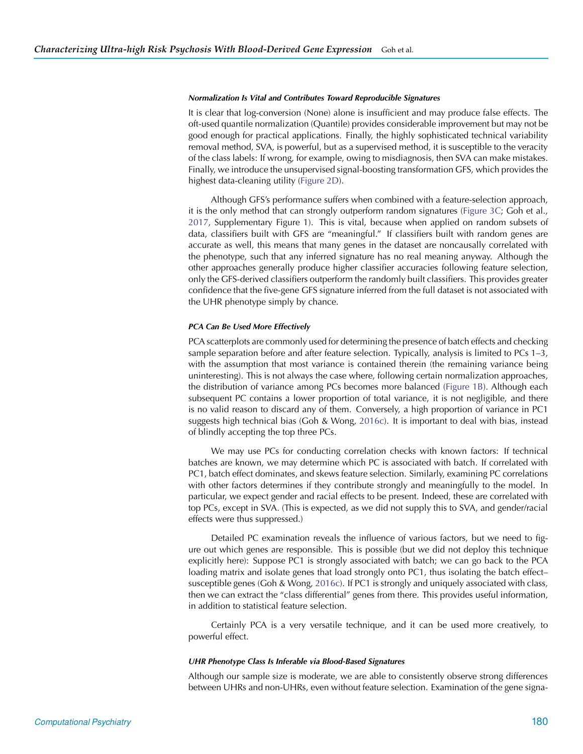#### *Normalization Is Vital and Contributes Toward Reproducible Signatures*

It is clear that log-conversion (None) alone is insufficient and may produce false effects. The oft-used quantile normalization (Quantile) provides considerable improvement but may not be good enough for practical applications. Finally, the highly sophisticated technical variability removal method, SVA, is powerful, but as a supervised method, it is susceptible to the veracity of the class labels: If wrong, for example, owing to misdiagnosis, then SVA can make mistakes. Finally, we introduce the unsupervised signal-boosting transformation GFS, which provides the highest data-cleaning utility [\(Figure 2D\)](#page-8-0).

Although GFS's performance suffers when combined with a feature-selection approach, it is the only method that can strongly outperform random signatures [\(Figure 3C;](#page-10-0) Goh et al., [2017,](#page-14-21) Supplementary Figure 1). This is vital, because when applied on random subsets of data, classifiers built with GFS are "meaningful." If classifiers built with random genes are accurate as well, this means that many genes in the dataset are noncausally correlated with the phenotype, such that any inferred signature has no real meaning anyway. Although the other approaches generally produce higher classifier accuracies following feature selection, only the GFS-derived classifiers outperform the randomly built classifiers. This provides greater confidence that the five-gene GFS signature inferred from the full dataset is not associated with the UHR phenotype simply by chance.

#### *PCA Can Be Used More Effectively*

PCA scatterplots are commonly used for determining the presence of batch effects and checking sample separation before and after feature selection. Typically, analysis is limited to PCs 1–3, with the assumption that most variance is contained therein (the remaining variance being uninteresting). This is not always the case where, following certain normalization approaches, the distribution of variance among PCs becomes more balanced [\(Figure 1B\)](#page-5-0). Although each subsequent PC contains a lower proportion of total variance, it is not negligible, and there is no valid reason to discard any of them. Conversely, a high proportion of variance in PC1 suggests high technical bias (Goh & Wong, [2016c](#page-14-17)). It is important to deal with bias, instead of blindly accepting the top three PCs.

We may use PCs for conducting correlation checks with known factors: If technical batches are known, we may determine which PC is associated with batch. If correlated with PC1, batch effect dominates, and skews feature selection. Similarly, examining PC correlations with other factors determines if they contribute strongly and meaningfully to the model. In particular, we expect gender and racial effects to be present. Indeed, these are correlated with top PCs, except in SVA. (This is expected, as we did not supply this to SVA, and gender/racial effects were thus suppressed.)

Detailed PC examination reveals the influence of various factors, but we need to figure out which genes are responsible. This is possible (but we did not deploy this technique explicitly here): Suppose PC1 is strongly associated with batch; we can go back to the PCA loading matrix and isolate genes that load strongly onto PC1, thus isolating the batch effect– susceptible genes (Goh & Wong, [2016c](#page-14-17)). If PC1 is strongly and uniquely associated with class, then we can extract the "class differential" genes from there. This provides useful information, in addition to statistical feature selection.

Certainly PCA is a very versatile technique, and it can be used more creatively, to powerful effect.

#### *UHR Phenotype Class Is Inferable via Blood-Based Signatures*

Although our sample size is moderate, we are able to consistently observe strong differences between UHRs and non-UHRs, even without feature selection. Examination of the gene signa-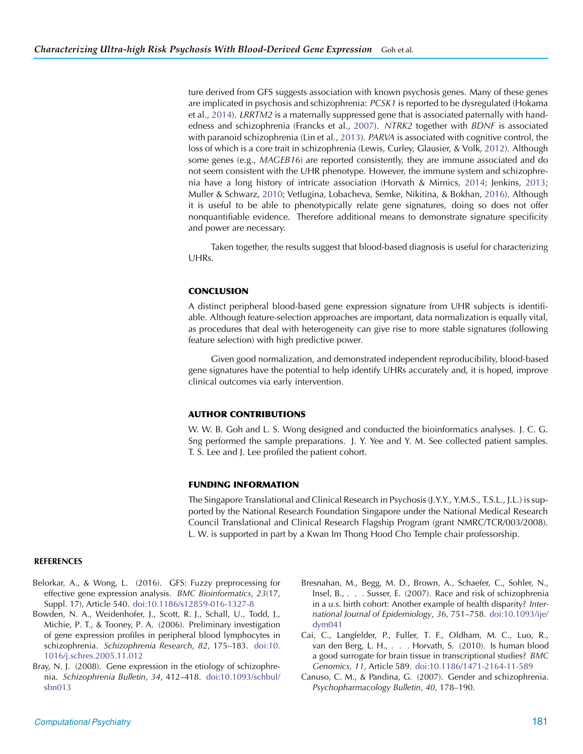ture derived from GFS suggests association with known psychosis genes. Many of these genes are implicated in psychosis and schizophrenia: *PCSK1* is reported to be dysregulated (Hokama et al., [2014\)](#page-14-23). *LRRTM2* is a maternally suppressed gene that is associated paternally with handedness and schizophrenia (Francks et al., [2007\)](#page-14-24). *NTRK2* together with *BDNF* is associated with paranoid schizophrenia (Lin et al., [2013\)](#page-14-25). *PARVA* is associated with cognitive control, the loss of which is a core trait in schizophrenia (Lewis, Curley, Glausier, & Volk, [2012](#page-14-26)). Although some genes (e.g., *MAGEB16*) are reported consistently, they are immune associated and do not seem consistent with the UHR phenotype. However, the immune system and schizophrenia have a long history of intricate association (Horvath & Mirnics, [2014;](#page-14-27) Jenkins, [2013](#page-14-28); Muller & Schwarz, [2010;](#page-15-15) Vetlugina, Lobacheva, Semke, Nikitina, & Bokhan, [2016](#page-15-16)). Although it is useful to be able to phenotypically relate gene signatures, doing so does not offer nonquantifiable evidence. Therefore additional means to demonstrate signature specificity and power are necessary.

Taken together, the results suggest that blood-based diagnosis is useful for characterizing UHRs.

# **CONCLUSION**

A distinct peripheral blood-based gene expression signature from UHR subjects is identifiable. Although feature-selection approaches are important, data normalization is equally vital, as procedures that deal with heterogeneity can give rise to more stable signatures (following feature selection) with high predictive power.

Given good normalization, and demonstrated independent reproducibility, blood-based gene signatures have the potential to help identify UHRs accurately and, it is hoped, improve clinical outcomes via early intervention.

# **AUTHOR CONTRIBUTIONS**

W. W. B. Goh and L. S. Wong designed and conducted the bioinformatics analyses. J. C. G. Sng performed the sample preparations. J. Y. Yee and Y. M. See collected patient samples. T. S. Lee and J. Lee profiled the patient cohort.

# **FUNDING INFORMATION**

<span id="page-13-3"></span>The Singapore Translational and Clinical Research in Psychosis (J.Y.Y., Y.M.S., T.S.L., J.L.) is supported by the National Research Foundation Singapore under the National Medical Research Council Translational and Clinical Research Flagship Program (grant NMRC/TCR/003/2008). L. W. is supported in part by a Kwan Im Thong Hood Cho Temple chair professorship.

# **REFERENCES**

- Belorkar, A., & Wong, L. (2016). GFS: Fuzzy preprocessing for effective gene expression analysis. *BMC Bioinformatics*, *23*(17, Suppl. 17), Article 540. [doi:10.1186/s12859-016-1327-8](https://dx.doi.org/10.1186/s12859-016-1327-8)
- Bowden, N. A., Weidenhofer, J., Scott, R. J., Schall, U., Todd, J., Michie, P. T., & Tooney, P. A. (2006). Preliminary investigation of gene expression profiles in peripheral blood lymphocytes in schizophrenia. *Schizophrenia Research*, *82*, 175–183. [doi:10.](https://dx.doi.org/10.1016/j.schres.2005.11.012) [1016/j.schres.2005.11.012](https://dx.doi.org/10.1016/j.schres.2005.11.012)
- Bray, N. J. (2008). Gene expression in the etiology of schizophrenia. *Schizophrenia Bulletin*, *34*, 412–418. [doi:10.1093/schbul/](https://dx.doi.org/10.1093/schbul/sbn013) [sbn013](https://dx.doi.org/10.1093/schbul/sbn013)
- Bresnahan, M., Begg, M. D., Brown, A., Schaefer, C., Sohler, N., Insel, B., . . . Susser, E. (2007). Race and risk of schizophrenia in a u.s. birth cohort: Another example of health disparity? *International Journal of Epidemiology*, *36*, 751–758. [doi:10.1093/ije/](https://dx.doi.org/10.1093/ije/dym041) [dym041](https://dx.doi.org/10.1093/ije/dym041)
- <span id="page-13-2"></span><span id="page-13-0"></span>Cai, C., Langfelder, P., Fuller, T. F., Oldham, M. C., Luo, R., van den Berg, L. H., . . . Horvath, S. (2010). Is human blood a good surrogate for brain tissue in transcriptional studies? *BMC Genomics*, *11*, Article 589. [doi:10.1186/1471-2164-11-589](https://dx.doi.org/10.1186/1471-2164-11-589)
- <span id="page-13-4"></span><span id="page-13-1"></span>Canuso, C. M., & Pandina, G. (2007). Gender and schizophrenia. *Psychopharmacology Bulletin*, *40*, 178–190.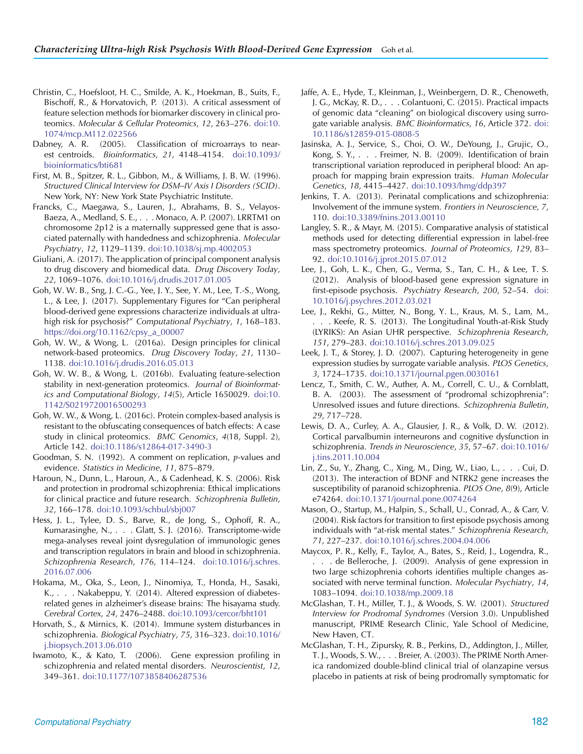- Christin, C., Hoefsloot, H. C., Smilde, A. K., Hoekman, B., Suits, F., Bischoff, R., & Horvatovich, P. (2013). A critical assessment of feature selection methods for biomarker discovery in clinical proteomics. *Molecular & Cellular Proteomics*, *12*, 263–276. [doi:10.](https://dx.doi.org/10.1074/mcp.M112.022566) [1074/mcp.M112.022566](https://dx.doi.org/10.1074/mcp.M112.022566)
- Dabney, A. R. (2005). Classification of microarrays to nearest centroids. *Bioinformatics*, *21*, 4148–4154. [doi:10.1093/](https://dx.doi.org/10.1093/bioinformatics/bti681) [bioinformatics/bti681](https://dx.doi.org/10.1093/bioinformatics/bti681)
- First, M. B., Spitzer, R. L., Gibbon, M., & Williams, J. B. W. (1996). *Structured Clinical Interview for DSM–IV Axis I Disorders (SCID)*. New York, NY: New York State Psychiatric Institute.
- Francks, C., Maegawa, S., Lauren, J., Abrahams, B. S., Velayos-Baeza, A., Medland, S. E., . . . Monaco, A. P. (2007). LRRTM1 on chromosome 2p12 is a maternally suppressed gene that is associated paternally with handedness and schizophrenia. *Molecular Psychiatry*, *12*, 1129–1139. [doi:10.1038/sj.mp.4002053](https://dx.doi.org/10.1038/sj.mp.4002053)
- Giuliani, A. (2017). The application of principal component analysis to drug discovery and biomedical data. *Drug Discovery Today*, *22*, 1069–1076. [doi:10.1016/j.drudis.2017.01.005](https://dx.doi.org/10.1016/j.drudis.2017.01.005)
- Goh, W. W. B., Sng, J. C.-G., Yee, J. Y., See, Y. M., Lee, T.-S., Wong, L., & Lee, J. (2017). Supplementary Figures for "Can peripheral blood-derived gene expressions characterize individuals at ultrahigh risk for psychosis?" *Computational Psychiatry*, *1*, 168–183. [https://doi.org/10.1162/cpsy\\_a\\_00007](https://dx.doi.org/10.1162/cpsy_a_00007)
- Goh, W. W., & Wong, L. (2016a). Design principles for clinical network-based proteomics. *Drug Discovery Today*, *21*, 1130– 1138. [doi:10.1016/j.drudis.2016.05.013](https://dx.doi.org/10.1016/j.drudis.2016.05.013)
- Goh, W. W. B., & Wong, L. (2016b). Evaluating feature-selection stability in next-generation proteomics. *Journal of Bioinformatics and Computational Biology*, *14*(5), Article 1650029. [doi:10.](https://dx.doi.org/10.1142/S0219720016500293) [1142/S0219720016500293](https://dx.doi.org/10.1142/S0219720016500293)
- Goh, W. W., & Wong, L. (2016c). Protein complex-based analysis is resistant to the obfuscating consequences of batch effects: A case study in clinical proteomics. *BMC Genomics*, *4*(18, Suppl. 2), Article 142. [doi:10.1186/s12864-017-3490-3](https://dx.doi.org/10.1186/s12864-017-3490-3)
- Goodman, S. N. (1992). A comment on replication, *p*-values and evidence. *Statistics in Medicine*, *11*, 875–879.
- Haroun, N., Dunn, L., Haroun, A., & Cadenhead, K. S. (2006). Risk and protection in prodromal schizophrenia: Ethical implications for clinical practice and future research. *Schizophrenia Bulletin*, *32*, 166–178. [doi:10.1093/schbul/sbj007](https://dx.doi.org/10.1093/schbul/sbj007)
- Hess, J. L., Tylee, D. S., Barve, R., de Jong, S., Ophoff, R. A., Kumarasinghe, N., . . . Glatt, S. J. (2016). Transcriptome-wide mega-analyses reveal joint dysregulation of immunologic genes and transcription regulators in brain and blood in schizophrenia. *Schizophrenia Research*, *176*, 114–124. [doi:10.1016/j.schres.](https://dx.doi.org/10.1016/j.schres.2016.07.006) [2016.07.006](https://dx.doi.org/10.1016/j.schres.2016.07.006)
- Hokama, M., Oka, S., Leon, J., Ninomiya, T., Honda, H., Sasaki, K., . . . Nakabeppu, Y. (2014). Altered expression of diabetesrelated genes in alzheimer's disease brains: The hisayama study. *Cerebral Cortex*, *24*, 2476–2488. [doi:10.1093/cercor/bht101](https://dx.doi.org/10.1093/cercor/bht101)
- Horvath, S., & Mirnics, K. (2014). Immune system disturbances in schizophrenia. *Biological Psychiatry*, *75*, 316–323. [doi:10.1016/](https://dx.doi.org/10.1016/j.biopsych.2013.06.010) [j.biopsych.2013.06.010](https://dx.doi.org/10.1016/j.biopsych.2013.06.010)
- Iwamoto, K., & Kato, T. (2006). Gene expression profiling in schizophrenia and related mental disorders. *Neuroscientist*, *12*, 349–361. [doi:10.1177/1073858406287536](https://dx.doi.org/10.1177/1073858406287536)
- <span id="page-14-19"></span>Jaffe, A. E., Hyde, T., Kleinman, J., Weinbergern, D. R., Chenoweth, J. G., McKay, R. D., . . . Colantuoni, C. (2015). Practical impacts of genomic data "cleaning" on biological discovery using surrogate variable analysis. *BMC Bioinformatics*, *16*, Article 372. [doi:](https://dx.doi.org/10.1186/s12859-015-0808-5) [10.1186/s12859-015-0808-5](https://dx.doi.org/10.1186/s12859-015-0808-5)
- <span id="page-14-16"></span><span id="page-14-10"></span>Jasinska, A. J., Service, S., Choi, O. W., DeYoung, J., Grujic, O., Kong, S. Y., . . . Freimer, N. B. (2009). Identification of brain transcriptional variation reproduced in peripheral blood: An approach for mapping brain expression traits. *Human Molecular Genetics*, *18*, 4415–4427. [doi:10.1093/hmg/ddp397](https://dx.doi.org/10.1093/hmg/ddp397)
- <span id="page-14-28"></span><span id="page-14-24"></span><span id="page-14-12"></span>Jenkins, T. A. (2013). Perinatal complications and schizophrenia: Involvement of the immune system. *Frontiers in Neuroscience*, *7*, 110. [doi:10.3389/fnins.2013.00110](https://dx.doi.org/10.3389/fnins.2013.00110)
- <span id="page-14-20"></span>Langley, S. R., & Mayr, M. (2015). Comparative analysis of statistical methods used for detecting differential expression in label-free mass spectrometry proteomics. *Journal of Proteomics*, *129*, 83– 92. [doi:10.1016/j.jprot.2015.07.012](https://dx.doi.org/10.1016/j.jprot.2015.07.012)
- <span id="page-14-21"></span><span id="page-14-15"></span><span id="page-14-7"></span>Lee, J., Goh, L. K., Chen, G., Verma, S., Tan, C. H., & Lee, T. S. (2012). Analysis of blood-based gene expression signature in first-episode psychosis. *Psychiatry Research*, *200*, 52–54. [doi:](https://dx.doi.org/10.1016/j.psychres.2012.03.021) [10.1016/j.psychres.2012.03.021](https://dx.doi.org/10.1016/j.psychres.2012.03.021)
- <span id="page-14-11"></span>Lee, J., Rekhi, G., Mitter, N., Bong, Y. L., Kraus, M. S., Lam, M., . . . Keefe, R. S. (2013). The Longitudinal Youth-at-Risk Study (LYRIKS): An Asian UHR perspective. *Schizophrenia Research*, *151*, 279–283. [doi:10.1016/j.schres.2013.09.025](https://dx.doi.org/10.1016/j.schres.2013.09.025)
- <span id="page-14-13"></span><span id="page-14-6"></span>Leek, J. T., & Storey, J. D. (2007). Capturing heterogeneity in gene expression studies by surrogate variable analysis. *PLOS Genetics*, *3*, 1724–1735. [doi:10.1371/journal.pgen.0030161](https://dx.doi.org/10.1371/journal.pgen.0030161)
- <span id="page-14-22"></span><span id="page-14-3"></span>Lencz, T., Smith, C. W., Auther, A. M., Correll, C. U., & Cornblatt, B. A. (2003). The assessment of "prodromal schizophrenia": Unresolved issues and future directions. *Schizophrenia Bulletin*, *29*, 717–728.
- <span id="page-14-26"></span><span id="page-14-17"></span>Lewis, D. A., Curley, A. A., Glausier, J. R., & Volk, D. W. (2012). Cortical parvalbumin interneurons and cognitive dysfunction in schizophrenia. *Trends in Neuroscience*, *35*, 57–67. [doi:10.1016/](https://dx.doi.org/10.1016/j.tins.2011.10.004) [j.tins.2011.10.004](https://dx.doi.org/10.1016/j.tins.2011.10.004)
- <span id="page-14-25"></span><span id="page-14-18"></span><span id="page-14-2"></span>Lin, Z., Su, Y., Zhang, C., Xing, M., Ding, W., Liao, L., . . . Cui, D. (2013). The interaction of BDNF and NTRK2 gene increases the susceptibility of paranoid schizophrenia. *PLOS One*, *8*(9), Article e74264. [doi:10.1371/journal.pone.0074264](https://dx.doi.org/10.1371/journal.pone.0074264)
- <span id="page-14-9"></span><span id="page-14-4"></span>Mason, O., Startup, M., Halpin, S., Schall, U., Conrad, A., & Carr, V. (2004). Risk factors for transition to first episode psychosis among individuals with "at-risk mental states." *Schizophrenia Research*, *71*, 227–237. [doi:10.1016/j.schres.2004.04.006](https://dx.doi.org/10.1016/j.schres.2004.04.006)
- <span id="page-14-5"></span>Maycox, P. R., Kelly, F., Taylor, A., Bates, S., Reid, J., Logendra, R., . . . de Belleroche, J. (2009). Analysis of gene expression in two large schizophrenia cohorts identifies multiple changes associated with nerve terminal function. *Molecular Psychiatry*, *14*, 1083–1094. [doi:10.1038/mp.2009.18](https://dx.doi.org/10.1038/mp.2009.18)
- <span id="page-14-23"></span><span id="page-14-1"></span>McGlashan, T. H., Miller, T. J., & Woods, S. W. (2001). *Structured Interview for Prodromal Syndromes* (Version 3.0). Unpublished manuscript, PRIME Research Clinic, Yale School of Medicine, New Haven, CT.
- <span id="page-14-27"></span><span id="page-14-14"></span><span id="page-14-8"></span><span id="page-14-0"></span>McGlashan, T. H., Zipursky, R. B., Perkins, D., Addington, J., Miller, T. J., Woods, S. W., . . . Breier, A. (2003). The PRIME North America randomized double-blind clinical trial of olanzapine versus placebo in patients at risk of being prodromally symptomatic for